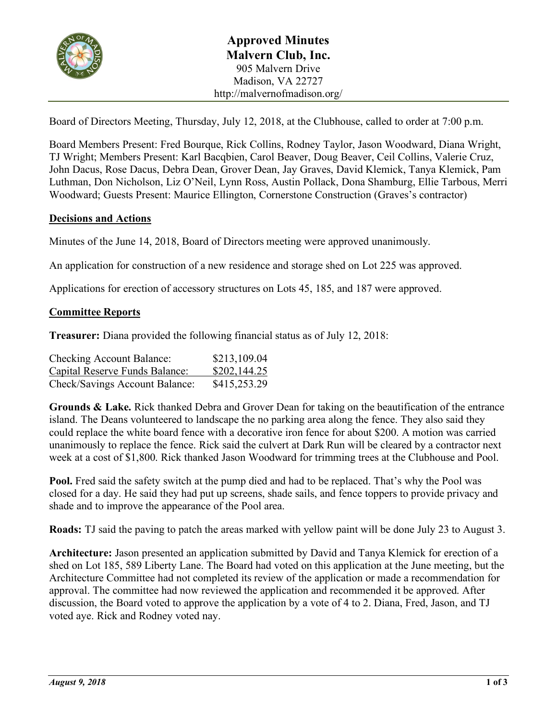

Board of Directors Meeting, Thursday, July 12, 2018, at the Clubhouse, called to order at 7:00 p.m.

Board Members Present: Fred Bourque, Rick Collins, Rodney Taylor, Jason Woodward, Diana Wright, TJ Wright; Members Present: Karl Bacqbien, Carol Beaver, Doug Beaver, Ceil Collins, Valerie Cruz, John Dacus, Rose Dacus, Debra Dean, Grover Dean, Jay Graves, David Klemick, Tanya Klemick, Pam Luthman, Don Nicholson, Liz O'Neil, Lynn Ross, Austin Pollack, Dona Shamburg, Ellie Tarbous, Merri Woodward; Guests Present: Maurice Ellington, Cornerstone Construction (Graves's contractor)

### **Decisions and Actions**

Minutes of the June 14, 2018, Board of Directors meeting were approved unanimously.

An application for construction of a new residence and storage shed on Lot 225 was approved.

Applications for erection of accessory structures on Lots 45, 185, and 187 were approved.

### **Committee Reports**

**Treasurer:** Diana provided the following financial status as of July 12, 2018:

| <b>Checking Account Balance:</b> | \$213,109.04 |
|----------------------------------|--------------|
| Capital Reserve Funds Balance:   | \$202,144.25 |
| Check/Savings Account Balance:   | \$415,253.29 |

**Grounds & Lake.** Rick thanked Debra and Grover Dean for taking on the beautification of the entrance island. The Deans volunteered to landscape the no parking area along the fence. They also said they could replace the white board fence with a decorative iron fence for about \$200. A motion was carried unanimously to replace the fence. Rick said the culvert at Dark Run will be cleared by a contractor next week at a cost of \$1,800. Rick thanked Jason Woodward for trimming trees at the Clubhouse and Pool.

**Pool.** Fred said the safety switch at the pump died and had to be replaced. That's why the Pool was closed for a day. He said they had put up screens, shade sails, and fence toppers to provide privacy and shade and to improve the appearance of the Pool area.

**Roads:** TJ said the paving to patch the areas marked with yellow paint will be done July 23 to August 3.

**Architecture:** Jason presented an application submitted by David and Tanya Klemick for erection of a shed on Lot 185, 589 Liberty Lane. The Board had voted on this application at the June meeting, but the Architecture Committee had not completed its review of the application or made a recommendation for approval. The committee had now reviewed the application and recommended it be approved. After discussion, the Board voted to approve the application by a vote of 4 to 2. Diana, Fred, Jason, and TJ voted aye. Rick and Rodney voted nay.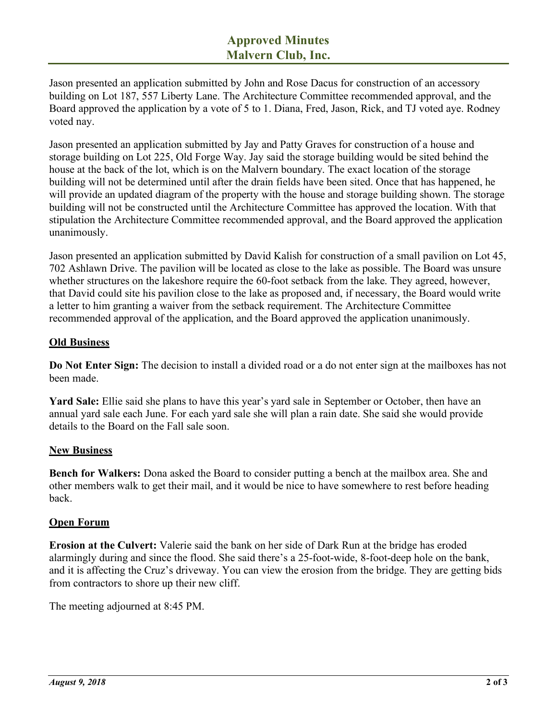Jason presented an application submitted by John and Rose Dacus for construction of an accessory building on Lot 187, 557 Liberty Lane. The Architecture Committee recommended approval, and the Board approved the application by a vote of 5 to 1. Diana, Fred, Jason, Rick, and TJ voted aye. Rodney voted nay.

Jason presented an application submitted by Jay and Patty Graves for construction of a house and storage building on Lot 225, Old Forge Way. Jay said the storage building would be sited behind the house at the back of the lot, which is on the Malvern boundary. The exact location of the storage building will not be determined until after the drain fields have been sited. Once that has happened, he will provide an updated diagram of the property with the house and storage building shown. The storage building will not be constructed until the Architecture Committee has approved the location. With that stipulation the Architecture Committee recommended approval, and the Board approved the application unanimously.

Jason presented an application submitted by David Kalish for construction of a small pavilion on Lot 45, 702 Ashlawn Drive. The pavilion will be located as close to the lake as possible. The Board was unsure whether structures on the lakeshore require the 60-foot setback from the lake. They agreed, however, that David could site his pavilion close to the lake as proposed and, if necessary, the Board would write a letter to him granting a waiver from the setback requirement. The Architecture Committee recommended approval of the application, and the Board approved the application unanimously.

# **Old Business**

**Do Not Enter Sign:** The decision to install a divided road or a do not enter sign at the mailboxes has not been made.

**Yard Sale:** Ellie said she plans to have this year's yard sale in September or October, then have an annual yard sale each June. For each yard sale she will plan a rain date. She said she would provide details to the Board on the Fall sale soon.

# **New Business**

**Bench for Walkers:** Dona asked the Board to consider putting a bench at the mailbox area. She and other members walk to get their mail, and it would be nice to have somewhere to rest before heading back.

# **Open Forum**

**Erosion at the Culvert:** Valerie said the bank on her side of Dark Run at the bridge has eroded alarmingly during and since the flood. She said there's a 25-foot-wide, 8-foot-deep hole on the bank, and it is affecting the Cruz's driveway. You can view the erosion from the bridge. They are getting bids from contractors to shore up their new cliff.

The meeting adjourned at 8:45 PM.